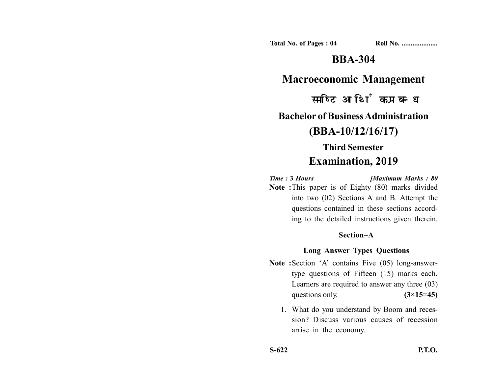**Total No. of Pages : 04 Roll No. ...................** 

# **BBA-304**

**Macroeconomic Management**

समष्टि आर्थिक प्रबन्ध

### **Bachelor of Business Administration**

## **(BBA-10/12/16/17)**

## **Third Semester Examination, 2019**

*Time :* **3** *Hours [Maximum Marks : 80* **Note :**This paper is of Eighty (80) marks divided

into two (02) Sections A and B. Attempt the questions contained in these sections according to the detailed instructions given therein.

#### **Section–A**

### **Long Answer Types Questions**

- **Note :**Section 'A' contains Five (05) long-answertype questions of Fifteen (15) marks each. Learners are required to answer any three (03) questions only.  $(3\times15=45)$ 
	- 1. What do you understand by Boom and recession? Discuss various causes of recession arrise in the economy.